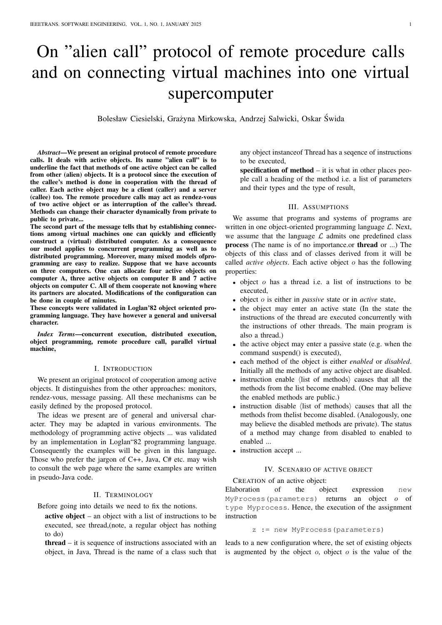# On "alien call" protocol of remote procedure calls and on connecting virtual machines into one virtual supercomputer

Bolesław Ciesielski, Grażyna Mirkowska, Andrzej Salwicki, Oskar Świda

*Abstract*—We present an original protocol of remote procedure calls. It deals with active objects. Its name "alien call" is to underline the fact that methods of one active object can be called from other (alien) objects. It is a protocol since the execution of the callee's method is done in cooperation with the thread of caller. Each active object may be a client (caller) and a server (callee) too. The remote procedure calls may act as rendez-vous of two active object or as interruption of the callee's thread. Methods can change their character dynamically from private to public to private...

The second part of the message tells that by establishing connections among virtual machines one can quickly and efficiently construct a (virtual) distributed computer. As a consequence our model applies to concurrent programming as well as to distributed programming. Moreover, many mixed models ofprogramming are easy to realize. Suppose that we have accounts on three computers. One can allocate four active objects on computer A, three active objects on computer B and 7 active objects on computer C. All of them cooperate not knowing where its partners are alocated. Modifications of the configuration can be done in couple of minutes.

These concepts were validated in Loglan'82 object oriented programming language. They have however a general and universal character.

*Index Terms*—concurrent execution, distributed execution, object programming, remote procedure call, parallel virtual machine,

#### I. INTRODUCTION

We present an original protocol of cooperation among active objects. It distinguishes from the other approaches: monitors, rendez-vous, message passing. All these mechanisms can be easily defined by the proposed protocol.

The ideas we present are of general and universal character. They may be adapted in various environments. The methodology of programming active objects ... was validated by an implementation in Loglan"82 programming language. Consequently the examples will be given in this language. Those who prefer the jargon of C++, Java, C# etc. may wish to consult the web page where the same examples are written in pseudo-Java code.

#### II. TERMINOLOGY

Before going into details we need to fix the notions.

active object – an object with a list of instructions to be executed, see thread,(note, a regular object has nothing to do)

thread – it is sequence of instructions associated with an object, in Java, Thread is the name of a class such that any object instanceof Thread has a seqence of instructions to be executed,

specification of method  $-$  it is what in other places people call a heading of the method i.e. a list of parameters and their types and the type of result,

# III. ASSUMPTIONS

We assume that programs and systems of programs are written in one object-oriented programming language  $\mathcal{L}$ . Next, we assume that the language  $\mathcal L$  admits one predefined class process (The name is of no importance.or thread or ...) The objects of this class and of classes derived from it will be called *active objects*. Each active object o has the following properties:

- object o has a thread i.e. a list of instructions to be executed,
- object o is either in *passive* state or in *active* state,
- the object may enter an active state (In the state the instructions of the thread are executed concurrently with the instructions of other threads. The main program is also a thread.)
- the active object may enter a passive state (e.g. when the command suspend() is executed),
- each method of the object is either *enabled* or *disabled*. Initially all the methods of any active object are disabled.
- instruction enable  $\langle$  list of methods $\rangle$  causes that all the methods from the list become enabled. (One may believe the enabled methods are public.)
- instruction disable  $\langle$  list of methods $\rangle$  causes that all the methods from thelist become disabled. (Analogously, one may believe the disabled methods are private). The status of a method may change from disabled to enabled to enabled ...
- instruction accept ...

# IV. SCENARIO OF ACTIVE OBJECT

CREATION of an active object:

Elaboration of the object expression new MyProcess(parameters) returns an object  $o$  of type Myprocess. Hence, the execution of the assignment instruction

z := new MyProcess(parameters)

leads to a new configuration where, the set of existing objects is augmented by the object  $o$ , object  $o$  is the value of the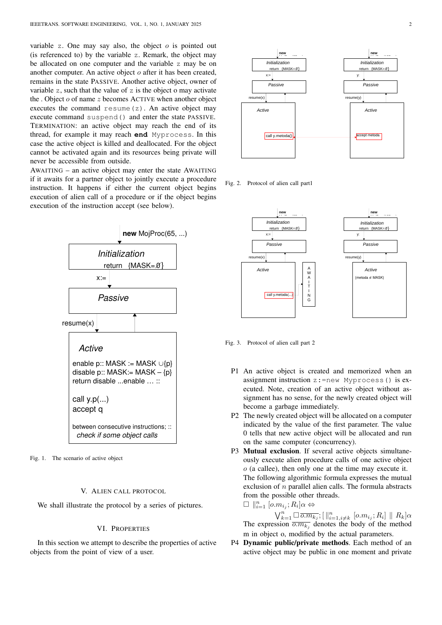variable z. One may say also, the object  $o$  is pointed out (is referenced to) by the variable z. Remark, the object may be allocated on one computer and the variable z may be on another computer. An active object o after it has been created, remains in the state PASSIVE. Another active object, owner of variable z, such that the value of z is the object o may activate the . Object  $o$  of name  $z$  becomes ACTIVE when another object executes the command resume $(z)$ . An active object may execute command suspend() and enter the state PASSIVE. TERMINATION: an active object may reach the end of its thread, for example it may reach **end** Myprocess. In this case the active object is killed and deallocated. For the object cannot be activated again and its resources being private will never be accessible from outside.

AWAITING – an active object may enter the state AWAITING if it awaits for a partner object to jointly execute a procedure instruction. It happens if either the current object begins execution of alien call of a procedure or if the object begins execution of the instruction accept (see below).



Fig. 1. The scenario of active object

#### V. ALIEN CALL PROTOCOL

We shall illustrate the protocol by a series of pictures.

#### VI. PROPERTIES

In this section we attempt to describe the properties of active objects from the point of view of a user.



Fig. 2. Protocol of alien call part1



Fig. 3. Protocol of alien call part 2

- P1 An active object is created and memorized when an assignment instruction z:=new Myprocess() is executed. Note, creation of an active object without assignment has no sense, for the newly created object will become a garbage immediately.
- P2 The newly created object will be allocated on a computer indicated by the value of the first parameter. The value 0 tells that new active object will be allocated and run on the same computer (concurrency).
- P3 Mutual exclusion. If several active objects simultaneously execute alien procedure calls of one active object o (a callee), then only one at the time may execute it. The following algorithmic formula expresses the mutual exclusion of  $n$  parallel alien calls. The formula abstracts from the possible other threads.

$$
\Box \parallel_{i=1}^n [\overline{o.m}_{i_j};R_i] \alpha \Leftrightarrow
$$

 $\bigvee_{k=1}^{n} \Box \overline{o.m_{k_j}}; [\, \big\Vert_{i=1, i\neq k}^{n} [o.m_{i_j}; R_i] \parallel R_k]\alpha$ The expression  $\overline{o.m_{k_j}}$  denotes the body of the method m in object o, modified by the actual parameters.

P4 Dynamic public/private methods. Each method of an active object may be public in one moment and private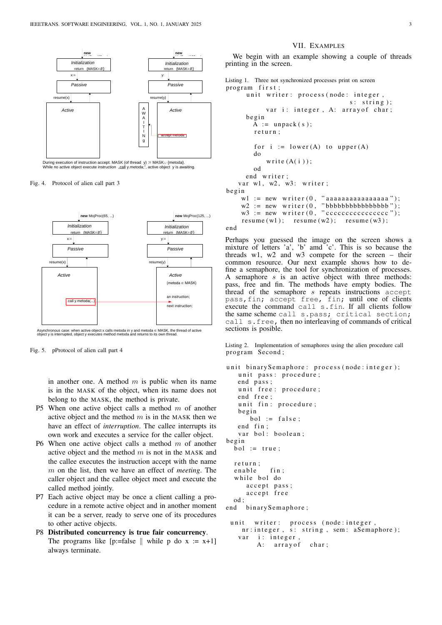

Fig. 4. Protocol of alien call part 3



Asynchronous case: when active object x calls metoda in y and metoda ∈ MASK, the thread of active<br>object y is interrupted, object y executes method metoda and returns to its own thread.

Fig. 5. pProtocol of alien call part 4

in another one. A method  $m$  is public when its name is in the MASK of the object, when its name does not belong to the MASK, the method is private.

- P5 When one active object calls a method  $m$  of another active object and the method  $m$  is in the MASK then we have an effect of *interruption*. The callee interrupts its own work and executes a service for the caller object.
- P6 When one active object calls a method  $m$  of another active object and the method  $m$  is not in the MASK and the callee executes the instruction accept with the name m on the list, then we have an effect of *meeting*. The caller object and the callee object meet and execute the called method jointly.
- P7 Each active object may be once a client calling a procedure in a remote active object and in another moment it can be a server, ready to serve one of its procedures to other active objects.
- P8 Distributed concurrency is true fair concurrency. The programs like  $[p:=false \mid]$  while p do x := x+1] always terminate.

## VII. EXAMPLES

We begin with an example showing a couple of threads printing in the screen.

```
Listing 1. Three not synchronized processes print on screen
program first;
     unit writer: process (node: integer,
                                   s: string);
           var i: integer, A: arrayof char;
     b e gi n
        A := unpack(s);
        return:
        for i := lower(A) to upper (A)do
           write (A(i));
        od
     end writer;
   var w1, w2, w3: writer;
b e gi n
    wl := new writer (0, "aaaaaaaaaaaaaaa");
    w2 := new writer (0, "bbbbbbbbbbbbbbbbbb);
    w3 := new \text{ writer } (0, "cccccccccccccccc" );resume(w1); resume (w2); resume (w3);end
```
Perhaps you guessed the image on the screen shows a

mixture of letters 'a', 'b' amd 'c'. This is so because the threads w1, w2 and w3 compete for the screen – their common resource. Our next example shows how to define a semaphore, the tool for synchronization of processes. A semaphore s is an active object with three methods: pass, free and fin. The methods have empty bodies. The thread of the semaphore  $s$  repeats instructions accept pass,fin; accept free, fin; until one of clients execute the command call s.fin. If all clients follow the same scheme call s.pass; critical section; call s.free, then no interleaving of commands of critical sections is posible.

Listing 2. Implementation of semaphores using the alien procedure call program Second;

```
unit binary Semaphore: process (node: integer);
   unit pass: procedure;
   end pass;
   unit free: procedure;
   end free;
   unit fin: procedure;
   b e gi n
      bol := false;end fin;
   var bol: boolean;
b e gi n
  bol := true;return:
  enable fin;
  while bol do
     accept pass;
     accept free
  od ;
end binary Semaphore;
 unit writer: process (node: integer,
    nr: integer, s: string, sem: aSemaphore);
   var i: integer,
        A: array of char;
```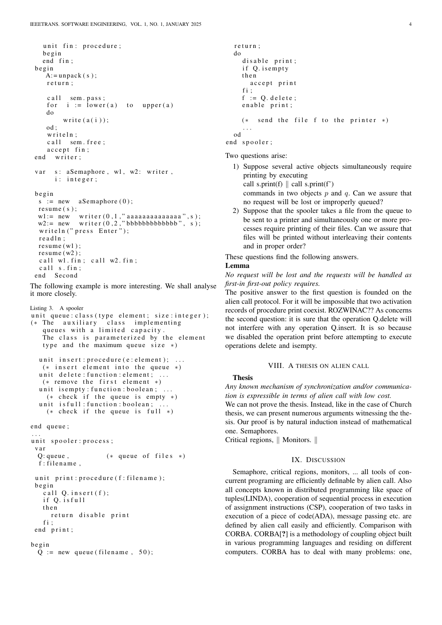```
unit fin: procedure;
  b e gi n
  end fin:
b e gi n
   A: =unpack(s);
   r e turn;
   c all sem. pass;
   for i := lower(a) to upper (a)
   do
        write (a(i));
   od ;
   writeln:
   c all sem . free;
   accept fin;
end writer;
var s: aSemaphore, w1, w2: writer,
     i: integer;
b e gin
 s := new aSemaphore (0);
 resume(s);w1 := new writer (0\,,1\,," a a a a a a a a a a a a a \ldots s )\,;
 w2 := new writer (0, 2, "bbbbbbbbbbbbb", s);
 writeln (" press Enter");
 r e a d l n :
 resume(w1);resume(w2);call wl. fin; call w2. fin;
 call s . fin;end Second
```
The following example is more interesting. We shall analyse it more closely.

```
Listing 3. A spooler
unit queue: class (type element; size: integer);
(* The auxiliary class implementing
   queues with a limited capacity
   The class is parameterized by the element
   type and the maximum queue size *)
  unit insert: procedure (e: element); ...
   (* insert element into the queue *)unit delete: function: element; ...
   (* remove the first element *)unit is empty: function: boolean; ...
    (* check if the queue is empty *)unit is full : function : boolean;
    (* \text{ check} if the queue is full *)end queue;
. . .
unit spooler: process;
 v a r
  Q: queue, (* queue of files *)
  f : filename.
 unit print: procedure (f: filename);
 b e gi n
   call Q. insert (f);
   if O. isfull
   t h e n
     return disable print
   fi;
 end print;
b e gi n
 Q := new queue ( filename, 50);
```

```
r e turn :
do
  disable print;
  if Q. is empty
  t h e n
    accept print
  fi :
  f := O. delete;
  enable print;
  (* send the file f to the printer *). . .
od
```
end spooler;

Two questions arise:

- 1) Suppose several active objects simultaneously require printing by executing call s.print(f)  $\parallel$  call s.print(f') commands in two objects  $p$  and  $q$ . Can we assure that no request will be lost or improperly queued?
- 2) Suppose that the spooler takes a file from the queue to be sent to a printer and simultaneously one or more processes require printing of their files. Can we assure that files will be printed without interleaving their contents and in proper order?

These questions find the following answers.

#### Lemma

*No request will be lost and the requests will be handled as first-in first-out policy requires.*

The positive answer to the first question is founded on the alien call protocol. For it will be impossible that two activation records of procedure print coexist. ROZWINAC?? As concerns the second question: it is sure that the operation Q.delete will not interfere with any operation Q.insert. It is so because we disabled the operation print before attempting to execute operations delete and isempty.

# VIII. A THESIS ON ALIEN CALL

# Thesis

*Any known mechanism of synchronization and/or communication is expressible in terms of alien call with low cost.* We can not prove the thesis. Instead, like in the case of Church thesis, we can present numerous arguments witnessing the thesis. Our proof is by natural induction instead of mathematical one. Semaphores.

Critical regions,  $\parallel$  Monitors.  $\parallel$ 

## IX. DISCUSSION

Semaphore, critical regions, monitors, ... all tools of concurrent programing are efficiently definable by alien call. Also all concepts known in distributed programming like space of tuples(LINDA), cooperation of sequential process in execution of assignment instructions (CSP), cooperation of two tasks in execution of a piece of code(ADA), message passing etc. are defined by alien call easily and efficiently. Comparison with CORBA. CORBA[?] is a methodology of coupling object built in various programming languages and residing on different computers. CORBA has to deal with many problems: one,